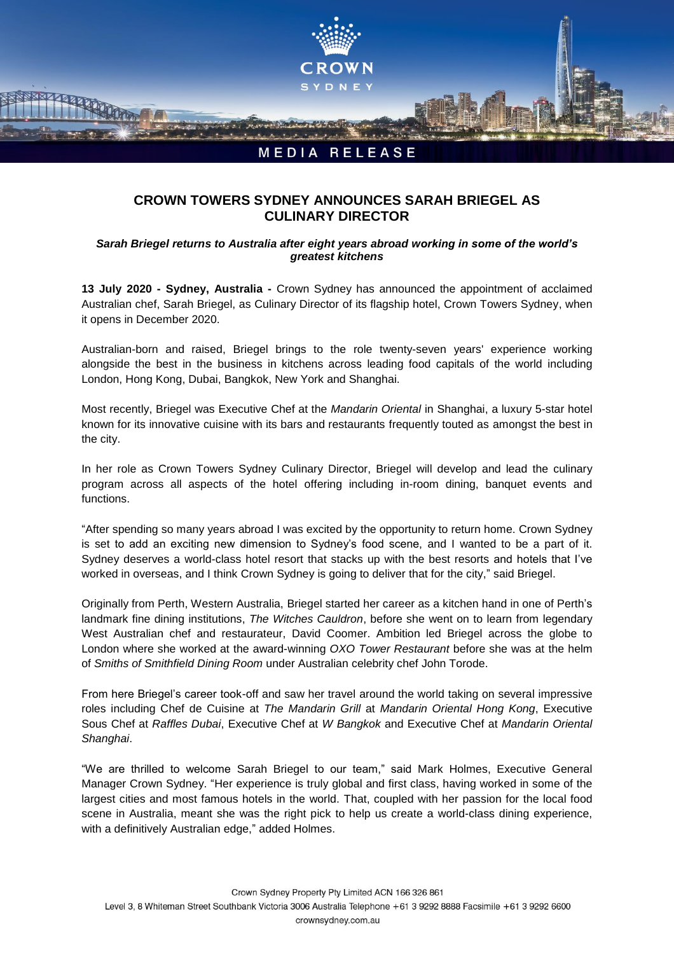

## **CROWN TOWERS SYDNEY ANNOUNCES SARAH BRIEGEL AS CULINARY DIRECTOR**

## *Sarah Briegel returns to Australia after eight years abroad working in some of the world's greatest kitchens*

**13 July 2020 - Sydney, Australia -** Crown Sydney has announced the appointment of acclaimed Australian chef, Sarah Briegel, as Culinary Director of its flagship hotel, Crown Towers Sydney, when it opens in December 2020.

Australian-born and raised, Briegel brings to the role twenty-seven years' experience working alongside the best in the business in kitchens across leading food capitals of the world including London, Hong Kong, Dubai, Bangkok, New York and Shanghai.

Most recently, Briegel was Executive Chef at the *Mandarin Oriental* in Shanghai, a luxury 5-star hotel known for its innovative cuisine with its bars and restaurants frequently touted as amongst the best in the city.

In her role as Crown Towers Sydney Culinary Director, Briegel will develop and lead the culinary program across all aspects of the hotel offering including in-room dining, banquet events and functions.

"After spending so many years abroad I was excited by the opportunity to return home. Crown Sydney is set to add an exciting new dimension to Sydney's food scene, and I wanted to be a part of it. Sydney deserves a world-class hotel resort that stacks up with the best resorts and hotels that I've worked in overseas, and I think Crown Sydney is going to deliver that for the city," said Briegel.

Originally from Perth, Western Australia, Briegel started her career as a kitchen hand in one of Perth's landmark fine dining institutions, *The Witches Cauldron*, before she went on to learn from legendary West Australian chef and restaurateur, David Coomer. Ambition led Briegel across the globe to London where she worked at the award-winning *OXO Tower Restaurant* before she was at the helm of *Smiths of Smithfield Dining Room* under Australian celebrity chef John Torode.

From here Briegel's career took-off and saw her travel around the world taking on several impressive roles including Chef de Cuisine at *The Mandarin Grill* at *Mandarin Oriental Hong Kong*, Executive Sous Chef at *Raffles Dubai*, Executive Chef at *W Bangkok* and Executive Chef at *Mandarin Oriental Shanghai*.

"We are thrilled to welcome Sarah Briegel to our team," said Mark Holmes, Executive General Manager Crown Sydney. "Her experience is truly global and first class, having worked in some of the largest cities and most famous hotels in the world. That, coupled with her passion for the local food scene in Australia, meant she was the right pick to help us create a world-class dining experience, with a definitively Australian edge," added Holmes.